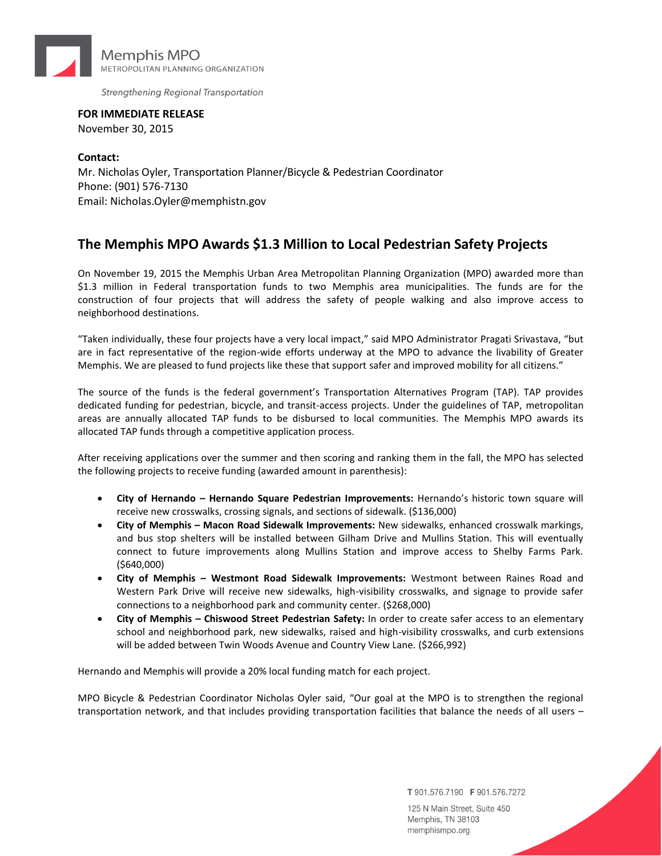

Strengthening Regional Transportation

**FOR IMMEDIATE RELEASE** November 30, 2015

**Contact:** Mr. Nicholas Oyler, Transportation Planner/Bicycle & Pedestrian Coordinator Phone: (901) 576-7130 Email: Nicholas.Oyler@memphistn.gov

## **The Memphis MPO Awards \$1.3 Million to Local Pedestrian Safety Projects**

On November 19, 2015 the Memphis Urban Area Metropolitan Planning Organization (MPO) awarded more than \$1.3 million in Federal transportation funds to two Memphis area municipalities. The funds are for the construction of four projects that will address the safety of people walking and also improve access to neighborhood destinations.

"Taken individually, these four projects have a very local impact," said MPO Administrator Pragati Srivastava, "but are in fact representative of the region-wide efforts underway at the MPO to advance the livability of Greater Memphis. We are pleased to fund projects like these that support safer and improved mobility for all citizens."

The source of the funds is the federal government's Transportation Alternatives Program (TAP). TAP provides dedicated funding for pedestrian, bicycle, and transit-access projects. Under the guidelines of TAP, metropolitan areas are annually allocated TAP funds to be disbursed to local communities. The Memphis MPO awards its allocated TAP funds through a competitive application process.

After receiving applications over the summer and then scoring and ranking them in the fall, the MPO has selected the following projects to receive funding (awarded amount in parenthesis):

- **City of Hernando – Hernando Square Pedestrian Improvements:** Hernando's historic town square will receive new crosswalks, crossing signals, and sections of sidewalk. (\$136,000)
- **City of Memphis – Macon Road Sidewalk Improvements:** New sidewalks, enhanced crosswalk markings, and bus stop shelters will be installed between Gilham Drive and Mullins Station. This will eventually connect to future improvements along Mullins Station and improve access to Shelby Farms Park. (\$640,000)
- **City of Memphis – Westmont Road Sidewalk Improvements:** Westmont between Raines Road and Western Park Drive will receive new sidewalks, high-visibility crosswalks, and signage to provide safer connections to a neighborhood park and community center. (\$268,000)
- **City of Memphis – Chiswood Street Pedestrian Safety:** In order to create safer access to an elementary school and neighborhood park, new sidewalks, raised and high-visibility crosswalks, and curb extensions will be added between Twin Woods Avenue and Country View Lane. (\$266,992)

Hernando and Memphis will provide a 20% local funding match for each project.

MPO Bicycle & Pedestrian Coordinator Nicholas Oyler said, "Our goal at the MPO is to strengthen the regional transportation network, and that includes providing transportation facilities that balance the needs of all users –

T 901.576.7190 F 901.576.7272